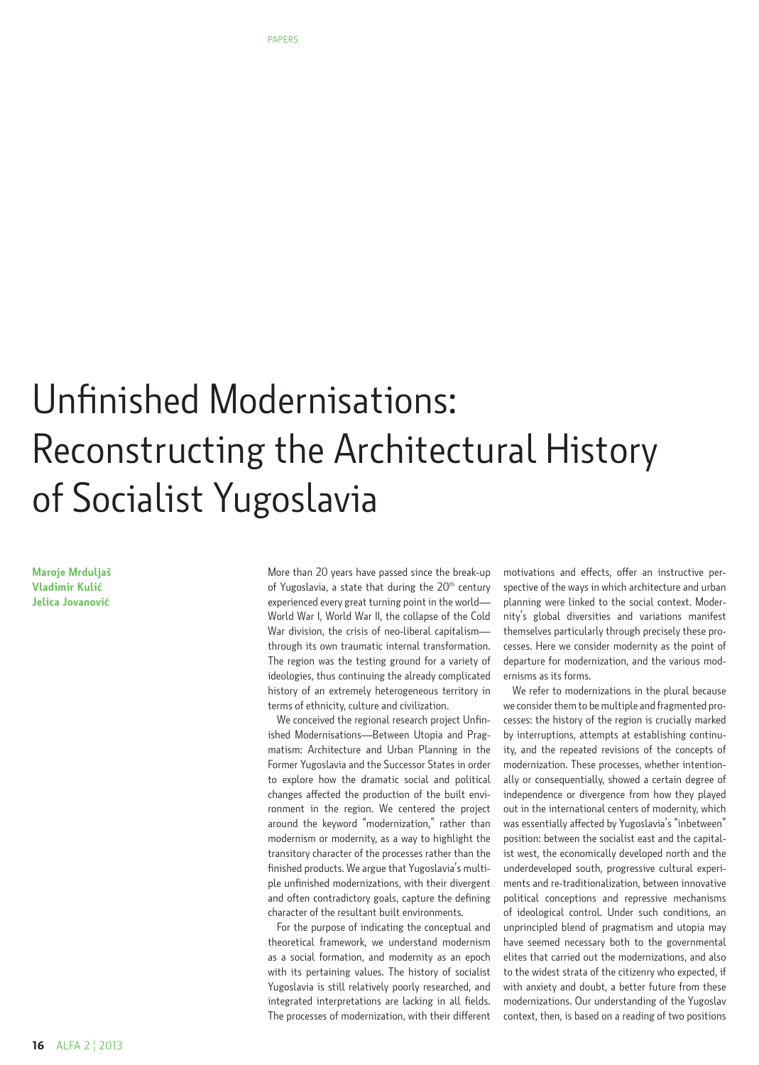# Unfinished Modernisations: Reconstructing the Architectural History of Socialist Yugoslavia

**Maroje Mrduljaš Vladimir Kulić Jelica Jovanović**

More than 20 years have passed since the break-up of Yugoslavia, a state that during the  $20<sup>th</sup>$  century experienced every great turning point in the world— World War I, World War II, the collapse of the Cold War division, the crisis of neo-liberal capitalismthrough its own traumatic internal transformation. The region was the testing ground for a variety of ideologies, thus continuing the already complicated history of an extremely heterogeneous territory in terms of ethnicity, culture and civilization.

We conceived the regional research project Unfinished Modernisations—Between Utopia and Pragmatism: Architecture and Urban Planning in the Former Yugoslavia and the Successor States in order to explore how the dramatic social and political changes affected the production of the built environment in the region. We centered the project around the keyword "modernization," rather than modernism or modernity, as a way to highlight the transitory character of the processes rather than the finished products. We argue that Yugoslavia's multiple unfinished modernizations, with their divergent and often contradictory goals, capture the defining character of the resultant built environments.

For the purpose of indicating the conceptual and theoretical framework, we understand modernism as a social formation, and modernity as an epoch with its pertaining values. The history of socialist Yugoslavia is still relatively poorly researched, and integrated interpretations are lacking in all fields. The processes of modernization, with their different

motivations and effects, offer an instructive perspective of the ways in which architecture and urban planning were linked to the social context. Modernity's global diversities and variations manifest themselves particularly through precisely these processes. Here we consider modernity as the point of departure for modernization, and the various modernisms as its forms.

We refer to modernizations in the plural because we consider them to be multiple and fragmented processes: the history of the region is crucially marked by interruptions, attempts at establishing continuity, and the repeated revisions of the concepts of modernization. These processes, whether intentionally or consequentially, showed a certain degree of independence or divergence from how they played out in the international centers of modernity, which was essentially affected by Yugoslavia's "inbetween" position: between the socialist east and the capitalist west, the economically developed north and the underdeveloped south, progressive cultural experiments and re-traditionalization, between innovative political conceptions and repressive mechanisms of ideological control. Under such conditions, an unprincipled blend of pragmatism and utopia may have seemed necessary both to the governmental elites that carried out the modernizations, and also to the widest strata of the citizenry who expected, if with anxiety and doubt, a better future from these modernizations. Our understanding of the Yugoslav context, then, is based on a reading of two positions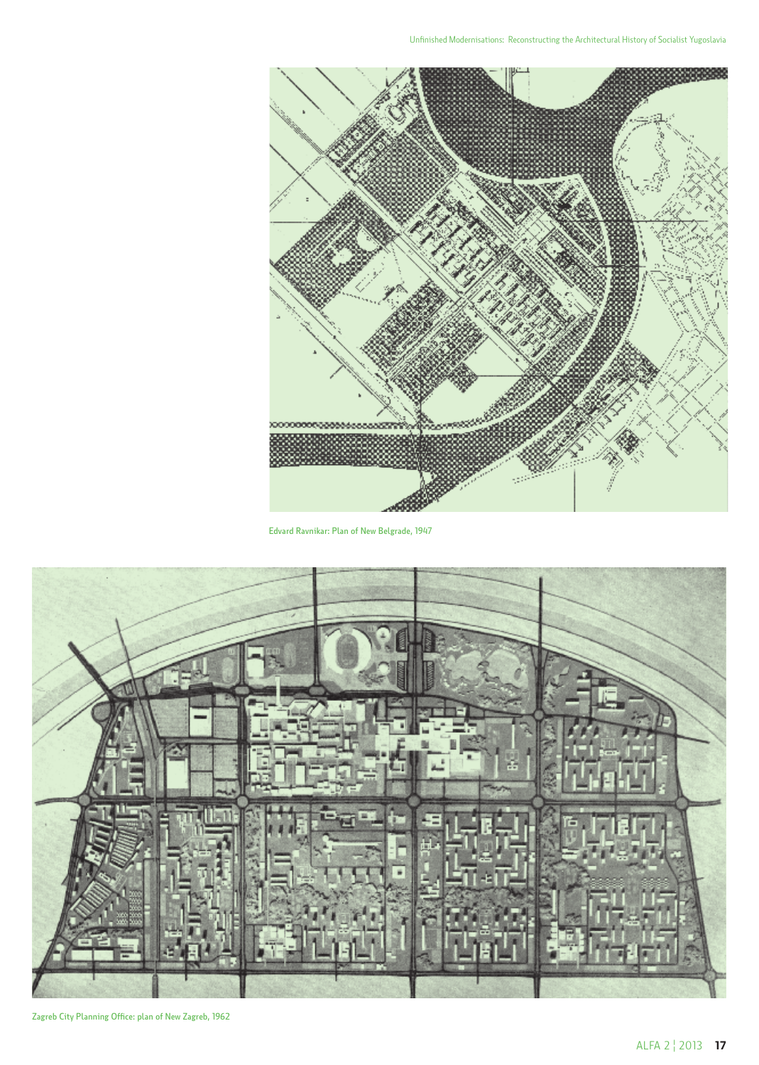

Edvard Ravnikar: Plan of New Belgrade, 1947



Zagreb City Planning Office: plan of New Zagreb, 1962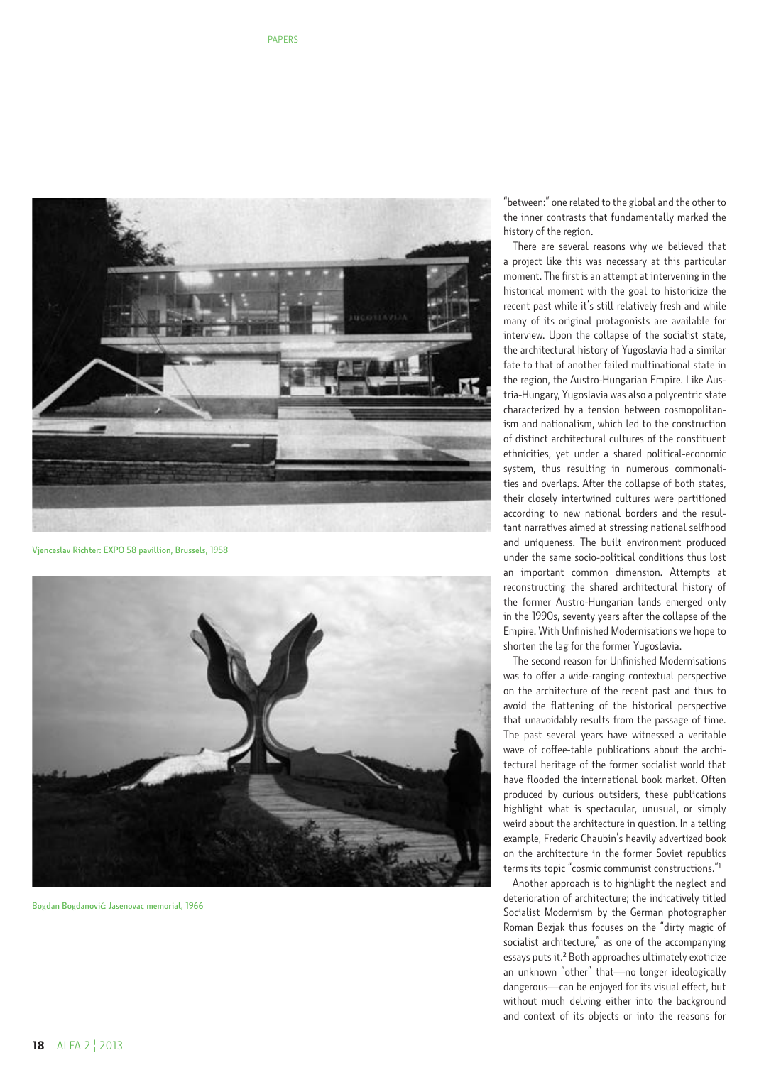

Vjenceslav Richter: EXPO 58 pavillion, Brussels, 1958



Bogdan Bogdanović: Jasenovac memorial, 1966

"between:" one related to the global and the other to the inner contrasts that fundamentally marked the history of the region.

There are several reasons why we believed that a project like this was necessary at this particular moment. The first is an attempt at intervening in the historical moment with the goal to historicize the recent past while it's still relatively fresh and while many of its original protagonists are available for interview. Upon the collapse of the socialist state, the architectural history of Yugoslavia had a similar fate to that of another failed multinational state in the region, the Austro-Hungarian Empire. Like Aus tria-Hungary, Yugoslavia was also a polycentric state characterized by a tension between cosmopolitan ism and nationalism, which led to the construction of distinct architectural cultures of the constituent ethnicities, yet under a shared political-economic system, thus resulting in numerous commonali ties and overlaps. After the collapse of both states, their closely intertwined cultures were partitioned according to new national borders and the resul tant narratives aimed at stressing national selfhood and uniqueness. The built environment produced under the same socio-political conditions thus lost an important common dimension. Attempts at reconstructing the shared architectural history of the former Austro-Hungarian lands emerged only in the 1990s, seventy years after the collapse of the Empire. With Unfinished Modernisations we hope to shorten the lag for the former Yugoslavia.

The second reason for Unfinished Modernisations was to offer a wide-ranging contextual perspective on the architecture of the recent past and thus to avoid the flattening of the historical perspective that unavoidably results from the passage of time. The past several years have witnessed a veritable wave of coffee-table publications about the archi tectural heritage of the former socialist world that have flooded the international book market. Often produced by curious outsiders, these publications highlight what is spectacular, unusual, or simply weird about the architecture in question. In a telling example, Frederic Chaubin's heavily advertized book on the architecture in the former Soviet republics terms its topic "cosmic communist constructions." 1

Another approach is to highlight the neglect and deterioration of architecture; the indicatively titled Socialist Modernism by the German photographer Roman Bezjak thus focuses on the "dirty magic of socialist architecture," as one of the accompanying essays puts it. 2 Both approaches ultimately exoticize an unknown "other" that—no longer ideologically dangerous—can be enjoyed for its visual effect, but without much delving either into the background and context of its objects or into the reasons for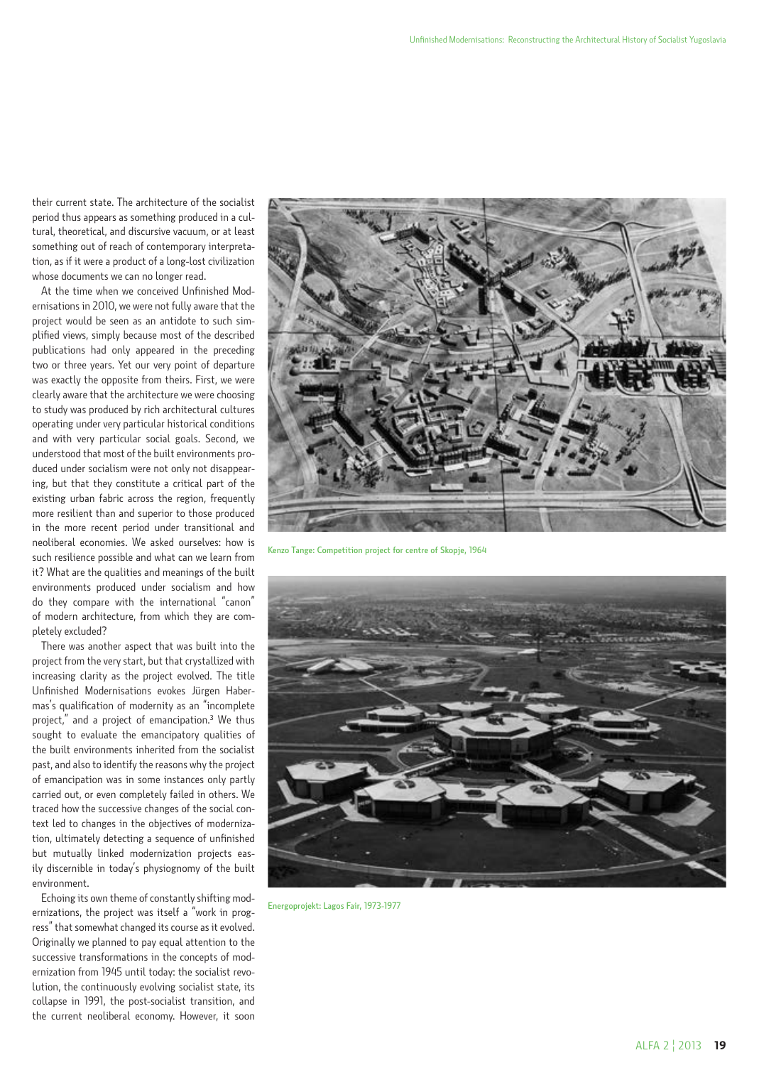their current state. The architecture of the socialist period thus appears as something produced in a cultural, theoretical, and discursive vacuum, or at least something out of reach of contemporary interpretation, as if it were a product of a long-lost civilization whose documents we can no longer read.

At the time when we conceived Unfinished Modernisations in 2010, we were not fully aware that the project would be seen as an antidote to such simplified views, simply because most of the described publications had only appeared in the preceding two or three years. Yet our very point of departure was exactly the opposite from theirs. First, we were clearly aware that the architecture we were choosing to study was produced by rich architectural cultures operating under very particular historical conditions and with very particular social goals. Second, we understood that most of the built environments produced under socialism were not only not disappearing, but that they constitute a critical part of the existing urban fabric across the region, frequently more resilient than and superior to those produced in the more recent period under transitional and neoliberal economies. We asked ourselves: how is such resilience possible and what can we learn from it? What are the qualities and meanings of the built environments produced under socialism and how do they compare with the international "canon" of modern architecture, from which they are completely excluded?

There was another aspect that was built into the project from the very start, but that crystallized with increasing clarity as the project evolved. The title Unfinished Modernisations evokes Jürgen Habermas's qualification of modernity as an "incomplete project," and a project of emancipation.<sup>3</sup> We thus sought to evaluate the emancipatory qualities of the built environments inherited from the socialist past, and also to identify the reasons why the project of emancipation was in some instances only partly carried out, or even completely failed in others. We traced how the successive changes of the social context led to changes in the objectives of modernization, ultimately detecting a sequence of unfinished but mutually linked modernization projects easily discernible in today's physiognomy of the built environment.

Echoing its own theme of constantly shifting modernizations, the project was itself a "work in progress" that somewhat changed its course as it evolved. Originally we planned to pay equal attention to the successive transformations in the concepts of modernization from 1945 until today: the socialist revolution, the continuously evolving socialist state, its collapse in 1991, the post-socialist transition, and the current neoliberal economy. However, it soon



Kenzo Tange: Competition project for centre of Skopje, 1964



Energoprojekt: Lagos Fair, 1973-1977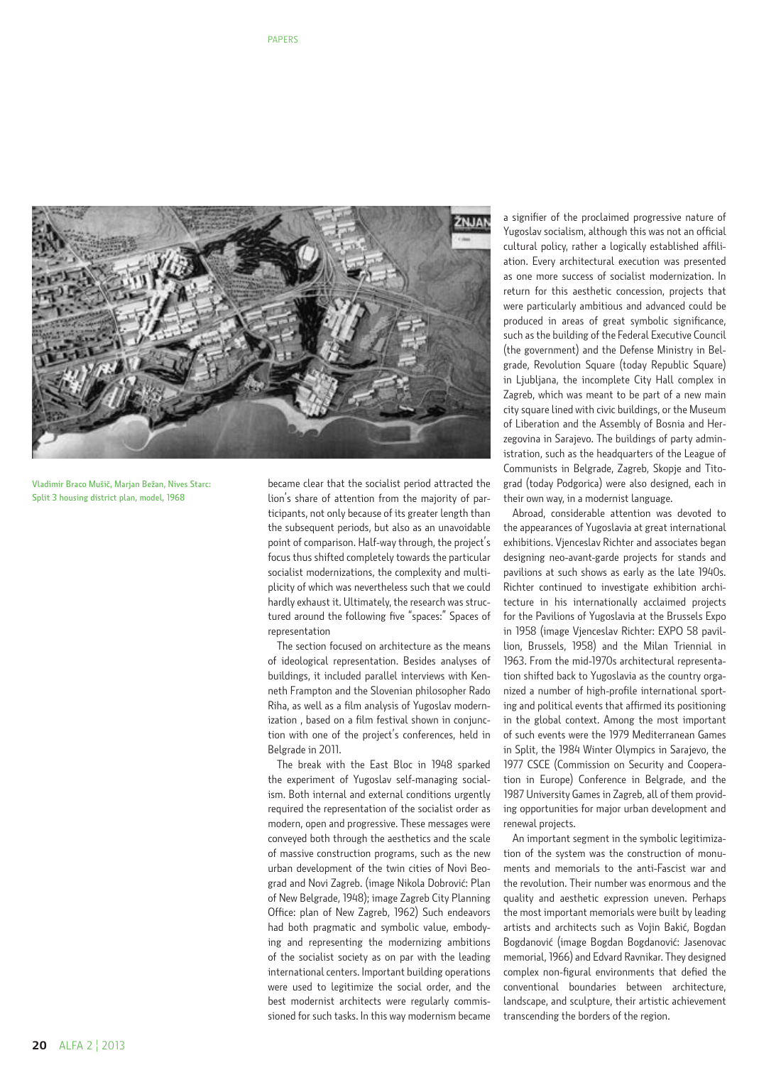

Vladimir Braco Mušič, Marjan Bežan, Nives Starc: Split 3 housing district plan, model, 1968

became clear that the socialist period attracted the lion's share of attention from the majority of participants, not only because of its greater length than the subsequent periods, but also as an unavoidable point of comparison. Half-way through, the project's focus thus shifted completely towards the particular socialist modernizations, the complexity and multiplicity of which was nevertheless such that we could hardly exhaust it. Ultimately, the research was structured around the following five "spaces:" Spaces of representation

The section focused on architecture as the means of ideological representation. Besides analyses of buildings, it included parallel interviews with Kenneth Frampton and the Slovenian philosopher Rado Riha, as well as a film analysis of Yugoslav modernization , based on a film festival shown in conjunction with one of the project's conferences, held in Belgrade in 2011.

The break with the East Bloc in 1948 sparked the experiment of Yugoslav self-managing socialism. Both internal and external conditions urgently required the representation of the socialist order as modern, open and progressive. These messages were conveyed both through the aesthetics and the scale of massive construction programs, such as the new urban development of the twin cities of Novi Beograd and Novi Zagreb. (image Nikola Dobrović: Plan of New Belgrade, 1948); image Zagreb City Planning Office: plan of New Zagreb, 1962) Such endeavors had both pragmatic and symbolic value, embodying and representing the modernizing ambitions of the socialist society as on par with the leading international centers. Important building operations were used to legitimize the social order, and the best modernist architects were regularly commissioned for such tasks. In this way modernism became

a signifier of the proclaimed progressive nature of Yugoslav socialism, although this was not an official cultural policy, rather a logically established affiliation. Every architectural execution was presented as one more success of socialist modernization. In return for this aesthetic concession, projects that were particularly ambitious and advanced could be produced in areas of great symbolic significance, such as the building of the Federal Executive Council (the government) and the Defense Ministry in Belgrade, Revolution Square (today Republic Square) in Ljubljana, the incomplete City Hall complex in Zagreb, which was meant to be part of a new main city square lined with civic buildings, or the Museum of Liberation and the Assembly of Bosnia and Herzegovina in Sarajevo. The buildings of party administration, such as the headquarters of the League of Communists in Belgrade, Zagreb, Skopje and Titograd (today Podgorica) were also designed, each in their own way, in a modernist language.

Abroad, considerable attention was devoted to the appearances of Yugoslavia at great international exhibitions. Vjenceslav Richter and associates began designing neo-avant-garde projects for stands and pavilions at such shows as early as the late 1940s. Richter continued to investigate exhibition architecture in his internationally acclaimed projects for the Pavilions of Yugoslavia at the Brussels Expo in 1958 (image Vjenceslav Richter: EXPO 58 pavillion, Brussels, 1958) and the Milan Triennial in 1963. From the mid-1970s architectural representation shifted back to Yugoslavia as the country organized a number of high-profile international sporting and political events that affirmed its positioning in the global context. Among the most important of such events were the 1979 Mediterranean Games in Split, the 1984 Winter Olympics in Sarajevo, the 1977 CSCE (Commission on Security and Cooperation in Europe) Conference in Belgrade, and the 1987 University Games in Zagreb, all of them providing opportunities for major urban development and renewal projects.

An important segment in the symbolic legitimization of the system was the construction of monuments and memorials to the anti-Fascist war and the revolution. Their number was enormous and the quality and aesthetic expression uneven. Perhaps the most important memorials were built by leading artists and architects such as Vojin Bakić, Bogdan Bogdanović (image Bogdan Bogdanović: Jasenovac memorial, 1966) and Edvard Ravnikar. They designed complex non-figural environments that defied the conventional boundaries between architecture, landscape, and sculpture, their artistic achievement transcending the borders of the region.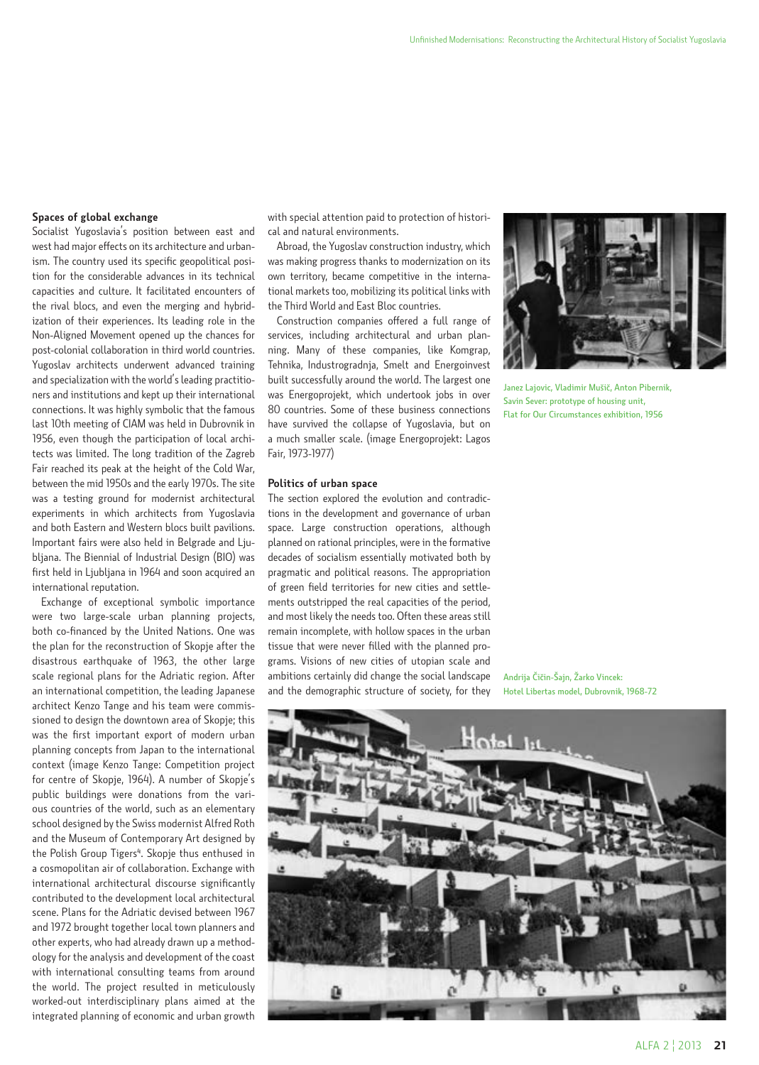## **Spaces of global exchange**

Socialist Yugoslavia's position between east and west had major effects on its architecture and urbanism. The country used its specific geopolitical position for the considerable advances in its technical capacities and culture. It facilitated encounters of the rival blocs, and even the merging and hybridization of their experiences. Its leading role in the Non-Aligned Movement opened up the chances for post-colonial collaboration in third world countries. Yugoslav architects underwent advanced training and specialization with the world's leading practitioners and institutions and kept up their international connections. It was highly symbolic that the famous last 10th meeting of CIAM was held in Dubrovnik in 1956, even though the participation of local architects was limited. The long tradition of the Zagreb Fair reached its peak at the height of the Cold War, between the mid 1950s and the early 1970s. The site was a testing ground for modernist architectural experiments in which architects from Yugoslavia and both Eastern and Western blocs built pavilions. Important fairs were also held in Belgrade and Ljubljana. The Biennial of Industrial Design (BIO) was first held in Ljubljana in 1964 and soon acquired an international reputation.

Exchange of exceptional symbolic importance were two large-scale urban planning projects, both co-financed by the United Nations. One was the plan for the reconstruction of Skopje after the disastrous earthquake of 1963, the other large scale regional plans for the Adriatic region. After an international competition, the leading Japanese architect Kenzo Tange and his team were commissioned to design the downtown area of Skopje; this was the first important export of modern urban planning concepts from Japan to the international context (image Kenzo Tange: Competition project for centre of Skopje, 1964). A number of Skopje's public buildings were donations from the various countries of the world, such as an elementary school designed by the Swiss modernist Alfred Roth and the Museum of Contemporary Art designed by the Polish Group Tigers<sup>4</sup>. Skopje thus enthused in a cosmopolitan air of collaboration. Exchange with international architectural discourse significantly contributed to the development local architectural scene. Plans for the Adriatic devised between 1967 and 1972 brought together local town planners and other experts, who had already drawn up a methodology for the analysis and development of the coast with international consulting teams from around the world. The project resulted in meticulously worked-out interdisciplinary plans aimed at the integrated planning of economic and urban growth

with special attention paid to protection of historical and natural environments.

Abroad, the Yugoslav construction industry, which was making progress thanks to modernization on its own territory, became competitive in the international markets too, mobilizing its political links with the Third World and East Bloc countries.

Construction companies offered a full range of services, including architectural and urban planning. Many of these companies, like Komgrap, Tehnika, Industrogradnja, Smelt and Energoinvest built successfully around the world. The largest one was Energoprojekt, which undertook jobs in over 80 countries. Some of these business connections have survived the collapse of Yugoslavia, but on a much smaller scale. (image Energoprojekt: Lagos Fair, 1973-1977)

#### **Politics of urban space**

The section explored the evolution and contradictions in the development and governance of urban space. Large construction operations, although planned on rational principles, were in the formative decades of socialism essentially motivated both by pragmatic and political reasons. The appropriation of green field territories for new cities and settlements outstripped the real capacities of the period, and most likely the needs too. Often these areas still remain incomplete, with hollow spaces in the urban tissue that were never filled with the planned programs. Visions of new cities of utopian scale and ambitions certainly did change the social landscape and the demographic structure of society, for they



Janez Lajovic, Vladimir Mušič, Anton Pibernik, Savin Sever: prototype of housing unit, Flat for Our Circumstances exhibition, 1956

Andrija Čičin-Šajn, Žarko Vincek: Hotel Libertas model, Dubrovnik, 1968-72

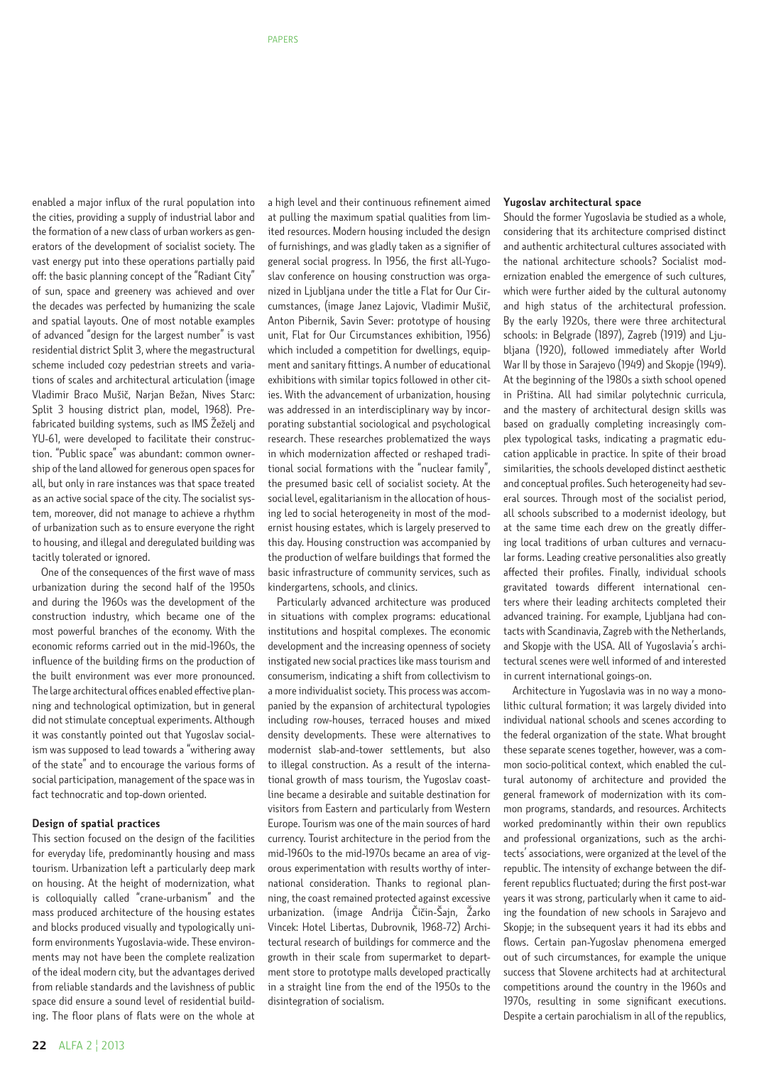enabled a major influx of the rural population into the cities, providing a supply of industrial labor and the formation of a new class of urban workers as generators of the development of socialist society. The vast energy put into these operations partially paid off: the basic planning concept of the "Radiant City" of sun, space and greenery was achieved and over the decades was perfected by humanizing the scale and spatial layouts. One of most notable examples of advanced "design for the largest number" is vast residential district Split 3, where the megastructural scheme included cozy pedestrian streets and variations of scales and architectural articulation (image Vladimir Braco Mušič, Narjan Bežan, Nives Starc: Split 3 housing district plan, model, 1968). Prefabricated building systems, such as IMS Žeželj and YU-61, were developed to facilitate their construction. "Public space" was abundant: common ownership of the land allowed for generous open spaces for all, but only in rare instances was that space treated as an active social space of the city. The socialist system, moreover, did not manage to achieve a rhythm of urbanization such as to ensure everyone the right to housing, and illegal and deregulated building was tacitly tolerated or ignored.

One of the consequences of the first wave of mass urbanization during the second half of the 1950s and during the 1960s was the development of the construction industry, which became one of the most powerful branches of the economy. With the economic reforms carried out in the mid-1960s, the influence of the building firms on the production of the built environment was ever more pronounced. The large architectural offices enabled effective planning and technological optimization, but in general did not stimulate conceptual experiments. Although it was constantly pointed out that Yugoslav socialism was supposed to lead towards a "withering away of the state" and to encourage the various forms of social participation, management of the space was in fact technocratic and top-down oriented.

## **Design of spatial practices**

This section focused on the design of the facilities for everyday life, predominantly housing and mass tourism. Urbanization left a particularly deep mark on housing. At the height of modernization, what is colloquially called "crane-urbanism" and the mass produced architecture of the housing estates and blocks produced visually and typologically uniform environments Yugoslavia-wide. These environments may not have been the complete realization of the ideal modern city, but the advantages derived from reliable standards and the lavishness of public space did ensure a sound level of residential building. The floor plans of flats were on the whole at a high level and their continuous refinement aimed at pulling the maximum spatial qualities from limited resources. Modern housing included the design of furnishings, and was gladly taken as a signifier of general social progress. In 1956, the first all-Yugoslav conference on housing construction was organized in Ljubljana under the title a Flat for Our Circumstances, (image Janez Lajovic, Vladimir Mušič, Anton Pibernik, Savin Sever: prototype of housing unit, Flat for Our Circumstances exhibition, 1956) which included a competition for dwellings, equipment and sanitary fittings. A number of educational exhibitions with similar topics followed in other cities. With the advancement of urbanization, housing was addressed in an interdisciplinary way by incorporating substantial sociological and psychological research. These researches problematized the ways in which modernization affected or reshaped traditional social formations with the "nuclear family", the presumed basic cell of socialist society. At the social level, egalitarianism in the allocation of housing led to social heterogeneity in most of the modernist housing estates, which is largely preserved to this day. Housing construction was accompanied by the production of welfare buildings that formed the basic infrastructure of community services, such as kindergartens, schools, and clinics.

Particularly advanced architecture was produced in situations with complex programs: educational institutions and hospital complexes. The economic development and the increasing openness of society instigated new social practices like mass tourism and consumerism, indicating a shift from collectivism to a more individualist society. This process was accompanied by the expansion of architectural typologies including row-houses, terraced houses and mixed density developments. These were alternatives to modernist slab-and-tower settlements, but also to illegal construction. As a result of the international growth of mass tourism, the Yugoslav coastline became a desirable and suitable destination for visitors from Eastern and particularly from Western Europe. Tourism was one of the main sources of hard currency. Tourist architecture in the period from the mid-1960s to the mid-1970s became an area of vigorous experimentation with results worthy of international consideration. Thanks to regional planning, the coast remained protected against excessive urbanization. (image Andrija Čičin-Šajn, Žarko Vincek: Hotel Libertas, Dubrovnik, 1968-72) Architectural research of buildings for commerce and the growth in their scale from supermarket to department store to prototype malls developed practically in a straight line from the end of the 1950s to the disintegration of socialism.

### **Yugoslav architectural space**

Should the former Yugoslavia be studied as a whole, considering that its architecture comprised distinct and authentic architectural cultures associated with the national architecture schools? Socialist modernization enabled the emergence of such cultures, which were further aided by the cultural autonomy and high status of the architectural profession. By the early 1920s, there were three architectural schools: in Belgrade (1897), Zagreb (1919) and Ljubljana (1920), followed immediately after World War II by those in Sarajevo (1949) and Skopje (1949). At the beginning of the 1980s a sixth school opened in Priština. All had similar polytechnic curricula, and the mastery of architectural design skills was based on gradually completing increasingly complex typological tasks, indicating a pragmatic education applicable in practice. In spite of their broad similarities, the schools developed distinct aesthetic and conceptual profiles. Such heterogeneity had several sources. Through most of the socialist period, all schools subscribed to a modernist ideology, but at the same time each drew on the greatly differing local traditions of urban cultures and vernacular forms. Leading creative personalities also greatly affected their profiles. Finally, individual schools gravitated towards different international centers where their leading architects completed their advanced training. For example, Ljubljana had contacts with Scandinavia, Zagreb with the Netherlands, and Skopje with the USA. All of Yugoslavia's architectural scenes were well informed of and interested in current international goings-on.

Architecture in Yugoslavia was in no way a monolithic cultural formation; it was largely divided into individual national schools and scenes according to the federal organization of the state. What brought these separate scenes together, however, was a common socio-political context, which enabled the cultural autonomy of architecture and provided the general framework of modernization with its common programs, standards, and resources. Architects worked predominantly within their own republics and professional organizations, such as the architects' associations, were organized at the level of the republic. The intensity of exchange between the different republics fluctuated; during the first post-war years it was strong, particularly when it came to aiding the foundation of new schools in Sarajevo and Skopje; in the subsequent years it had its ebbs and flows. Certain pan-Yugoslav phenomena emerged out of such circumstances, for example the unique success that Slovene architects had at architectural competitions around the country in the 1960s and 1970s, resulting in some significant executions. Despite a certain parochialism in all of the republics,